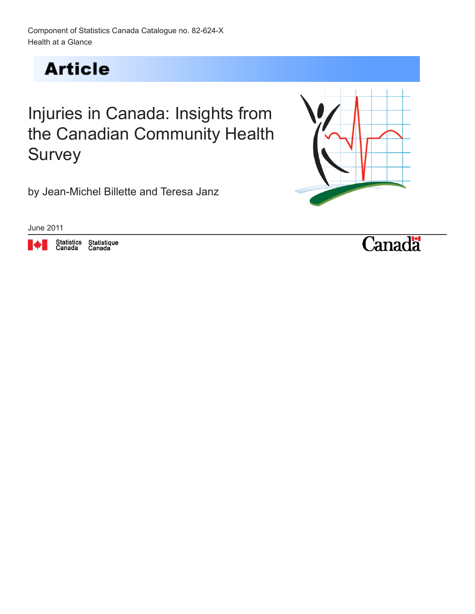**Article** 

# Injuries in Canada: Insights from the Canadian Community Health **Survey**

by Jean-Michel Billette and Teresa Janz



June 2011



Statistique<br>Canada

**Canadä**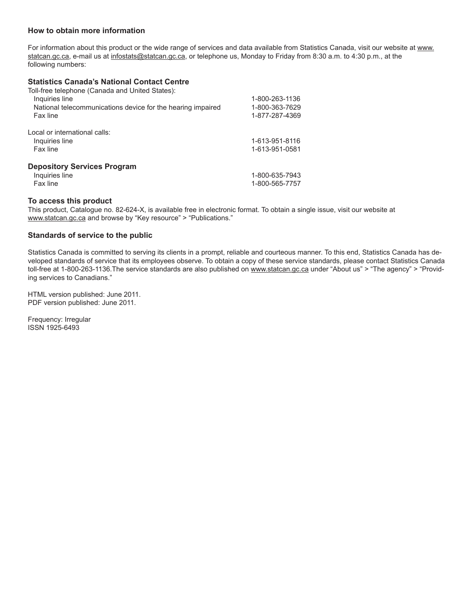#### **How to obtain more information**

For information about this product or the wide range of services and data available from Statistics Canada, visit our website at www. statcan.gc.ca, e-mail us at infostats@statcan.gc.ca, or telephone us, Monday to Friday from 8:30 a.m. to 4:30 p.m., at the following numbers:

#### **Statistics Canada's National Contact Centre**

| Toll-free telephone (Canada and United States):             |                |
|-------------------------------------------------------------|----------------|
| Inquiries line                                              | 1-800-263-1136 |
| National telecommunications device for the hearing impaired | 1-800-363-7629 |
| Fax line                                                    | 1-877-287-4369 |
| Local or international calls:                               |                |
| Inquiries line                                              | 1-613-951-8116 |
| Fax line                                                    | 1-613-951-0581 |
| <b>Depository Services Program</b>                          |                |
| Inquiries line                                              | 1-800-635-7943 |
| Fax line                                                    | 1-800-565-7757 |

#### **To access this product**

This product, Catalogue no. 82-624-X, is available free in electronic format. To obtain a single issue, visit our website at <www.statcan.gc.ca>and browse by "Key resource" > "Publications."

#### **Standards of service to the public**

Statistics Canada is committed to serving its clients in a prompt, reliable and courteous manner. To this end, Statistics Canada has developed standards of service that its employees observe. To obtain a copy of these service standards, please contact Statistics Canada toll-free at 1-800-263-1136. The service standards are also published on <www.statcan.gc.ca> under "About us" > "The agency" > "Providing services to Canadians."

HTML version published: June 2011. PDF version published: June 2011.

Frequency: Irregular ISSN 1925-6493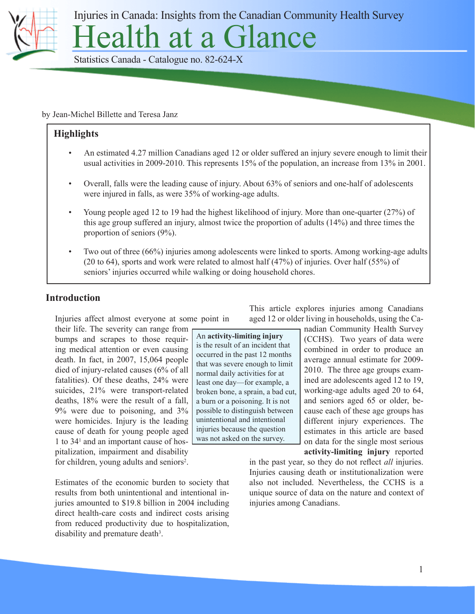

Injuries in Canada: Insights from the Canadian Community Health Survey

ealth at a Glance

Statistics Canada - Catalogue no. 82-624-X

by Jean-Michel Billette and Teresa Janz

#### **Highlights**

- An estimated 4.27 million Canadians aged 12 or older suffered an injury severe enough to limit their usual activities in 2009-2010. This represents 15% of the population, an increase from 13% in 2001.
- Overall, falls were the leading cause of injury. About 63% of seniors and one-half of adolescents were injured in falls, as were 35% of working-age adults.
- Young people aged 12 to 19 had the highest likelihood of injury. More than one-quarter (27%) of this age group suffered an injury, almost twice the proportion of adults (14%) and three times the proportion of seniors (9%).
- Two out of three (66%) injuries among adolescents were linked to sports. Among working-age adults (20 to 64), sports and work were related to almost half (47%) of injuries. Over half (55%) of seniors' injuries occurred while walking or doing household chores.

a burn or a poisoning. It is not possible to distinguish between unintentional and intentional injuries because the question was not asked on the survey.

#### **Introduction**

Injuries affect almost everyone at some point in their life. The severity can range from

bumps and scrapes to those requiring medical attention or even causing death. In fact, in 2007, 15,064 people died of injury-related causes (6% of all fatalities). Of these deaths, 24% were suicides, 21% were transport-related deaths, 18% were the result of a fall, 9% were due to poisoning, and 3% were homicides. Injury is the leading cause of death for young people aged 1 to 341 and an important cause of hospitalization, impairment and disability for children, young adults and seniors<sup>2</sup>.

Estimates of the economic burden to society that results from both unintentional and intentional injuries amounted to \$19.8 billion in 2004 including direct health-care costs and indirect costs arising from reduced productivity due to hospitalization, disability and premature death<sup>3</sup>.

This article explores injuries among Canadians aged 12 or older living in households, using the Ca-

> nadian Community Health Survey (CCHS). Two years of data were combined in order to produce an average annual estimate for 2009- 2010. The three age groups examined are adolescents aged 12 to 19, working-age adults aged 20 to 64, and seniors aged 65 or older, because each of these age groups has different injury experiences. The estimates in this article are based on data for the single most serious **activity-limiting injury** reported

in the past year, so they do not reflect *all* injuries. Injuries causing death or institutionalization were also not included. Nevertheless, the CCHS is a unique source of data on the nature and context of injuries among Canadians.

An **activity-limiting injury** is the result of an incident that occurred in the past 12 months that was severe enough to limit normal daily activities for at least one day—for example, a broken bone, a sprain, a bad cut,

1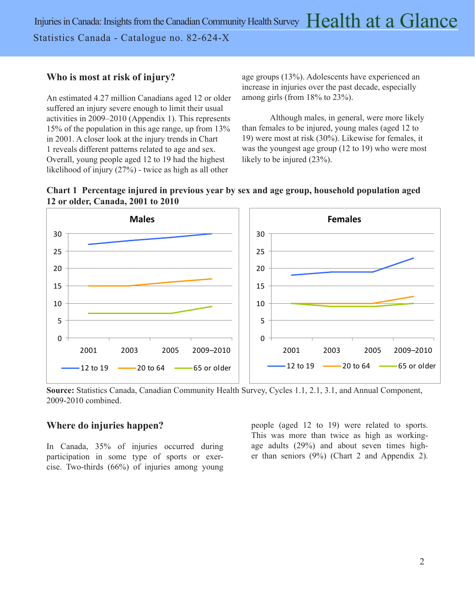## **Who is most at risk of injury?**

An estimated 4.27 million Canadians aged 12 or older suffered an injury severe enough to limit their usual activities in 2009–2010 (Appendix 1). This represents 15% of the population in this age range, up from 13% in 2001. A closer look at the injury trends in Chart 1 reveals different patterns related to age and sex. Overall, young people aged 12 to 19 had the highest likelihood of injury (27%) - twice as high as all other

age groups (13%). Adolescents have experienced an increase in injuries over the past decade, especially among girls (from 18% to 23%).

Although males, in general, were more likely than females to be injured, young males (aged 12 to 19) were most at risk (30%). Likewise for females, it was the youngest age group (12 to 19) who were most likely to be injured  $(23\%)$ .





**Source:** Statistics Canada, Canadian Community Health Survey, Cycles 1.1, 2.1, 3.1, and Annual Component, 2009-2010 combined.

#### **Where do injuries happen?**

In Canada, 35% of injuries occurred during participation in some type of sports or exercise. Two-thirds (66%) of injuries among young people (aged 12 to 19) were related to sports. This was more than twice as high as workingage adults (29%) and about seven times higher than seniors (9%) (Chart 2 and Appendix 2).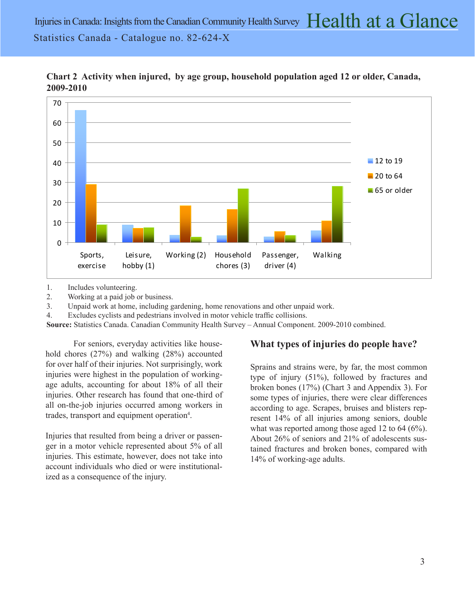

**Chart 2 Activity when injured, by age group, household population aged 12 or older, Canada, 2009-2010**

1. Includes volunteering.

2. Working at a paid job or business.

3. Unpaid work at home, including gardening, home renovations and other unpaid work.

4. Excludes cyclists and pedestrians involved in motor vehicle traffic collisions.

**Source:** Statistics Canada. Canadian Community Health Survey – Annual Component. 2009-2010 combined.

For seniors, everyday activities like household chores (27%) and walking (28%) accounted for over half of their injuries. Not surprisingly, work injuries were highest in the population of workingage adults, accounting for about 18% of all their injuries. Other research has found that one-third of all on-the-job injuries occurred among workers in trades, transport and equipment operation<sup>4</sup>.

Injuries that resulted from being a driver or passenger in a motor vehicle represented about 5% of all injuries. This estimate, however, does not take into account individuals who died or were institutionalized as a consequence of the injury.

#### **What types of injuries do people have?**

Sprains and strains were, by far, the most common type of injury (51%), followed by fractures and broken bones (17%) (Chart 3 and Appendix 3). For some types of injuries, there were clear differences according to age. Scrapes, bruises and blisters represent 14% of all injuries among seniors, double what was reported among those aged 12 to 64 (6%). About 26% of seniors and 21% of adolescents sustained fractures and broken bones, compared with 14% of working-age adults.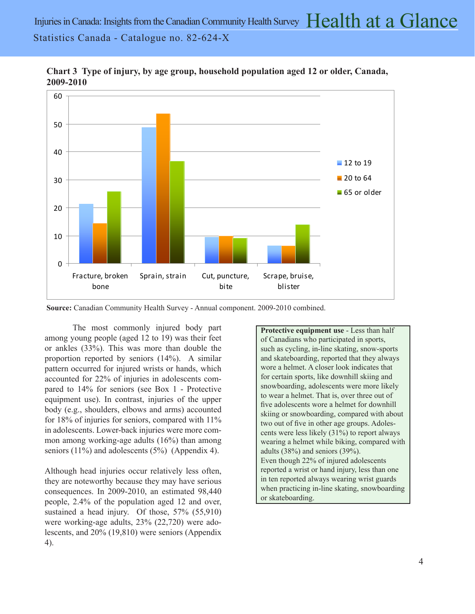

**Chart 3 Type of injury, by age group, household population aged 12 or older, Canada, 2009-2010**

**Source:** Canadian Community Health Survey - Annual component. 2009-2010 combined.

The most commonly injured body part among young people (aged 12 to 19) was their feet or ankles (33%). This was more than double the proportion reported by seniors (14%). A similar pattern occurred for injured wrists or hands, which accounted for 22% of injuries in adolescents compared to 14% for seniors (see Box 1 - Protective equipment use). In contrast, injuries of the upper body (e.g., shoulders, elbows and arms) accounted for 18% of injuries for seniors, compared with 11% in adolescents. Lower-back injuries were more common among working-age adults (16%) than among seniors  $(11\%)$  and adolescents  $(5\%)$  (Appendix 4).

Although head injuries occur relatively less often, they are noteworthy because they may have serious consequences. In 2009-2010, an estimated 98,440 people, 2.4% of the population aged 12 and over, sustained a head injury. Of those, 57% (55,910) were working-age adults, 23% (22,720) were adolescents, and 20% (19,810) were seniors (Appendix 4).

**Protective equipment use** - Less than half of Canadians who participated in sports, such as cycling, in-line skating, snow-sports and skateboarding, reported that they always wore a helmet. A closer look indicates that for certain sports, like downhill skiing and snowboarding, adolescents were more likely to wear a helmet. That is, over three out of five adolescents wore a helmet for downhill skiing or snowboarding, compared with about two out of five in other age groups. Adolescents were less likely (31%) to report always wearing a helmet while biking, compared with adults (38%) and seniors (39%). Even though 22% of injured adolescents reported a wrist or hand injury, less than one in ten reported always wearing wrist guards when practicing in-line skating, snowboarding or skateboarding.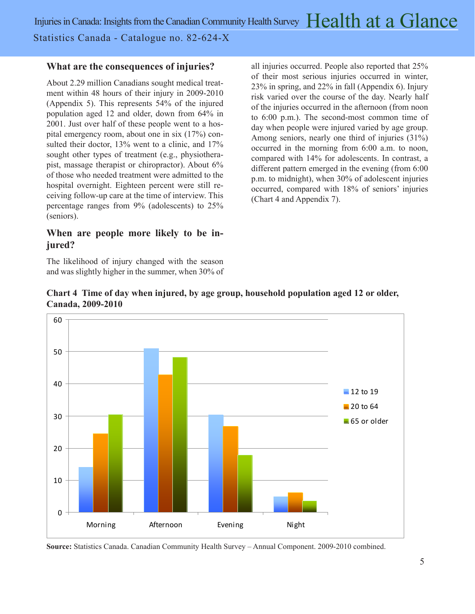### **What are the consequences of injuries?**

About 2.29 million Canadians sought medical treatment within 48 hours of their injury in 2009-2010 (Appendix 5). This represents 54% of the injured population aged 12 and older, down from 64% in 2001. Just over half of these people went to a hospital emergency room, about one in six (17%) consulted their doctor, 13% went to a clinic, and 17% sought other types of treatment (e.g., physiotherapist, massage therapist or chiropractor). About 6% of those who needed treatment were admitted to the hospital overnight. Eighteen percent were still receiving follow-up care at the time of interview. This percentage ranges from 9% (adolescents) to 25% (seniors).

## **When are people more likely to be injured?**

The likelihood of injury changed with the season and was slightly higher in the summer, when 30% of all injuries occurred. People also reported that 25% of their most serious injuries occurred in winter, 23% in spring, and 22% in fall (Appendix 6). Injury risk varied over the course of the day. Nearly half of the injuries occurred in the afternoon (from noon to 6:00 p.m.). The second-most common time of day when people were injured varied by age group. Among seniors, nearly one third of injuries (31%) occurred in the morning from 6:00 a.m. to noon, compared with 14% for adolescents. In contrast, a different pattern emerged in the evening (from 6:00 p.m. to midnight), when 30% of adolescent injuries occurred, compared with 18% of seniors' injuries (Chart 4 and Appendix 7).





**Source:** Statistics Canada. Canadian Community Health Survey – Annual Component. 2009-2010 combined.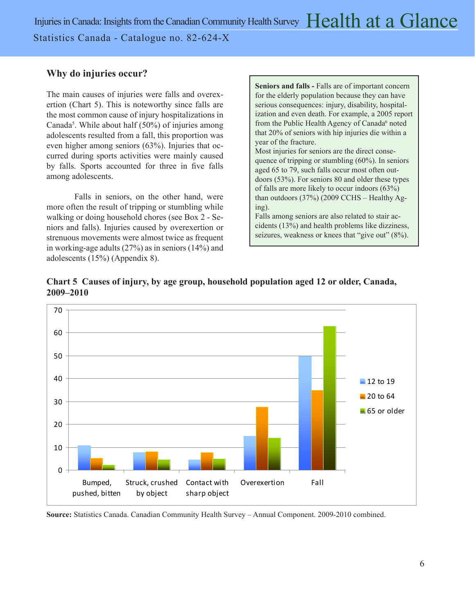## **Why do injuries occur?**

The main causes of injuries were falls and overexertion (Chart 5). This is noteworthy since falls are the most common cause of injury hospitalizations in Canada<sup>5</sup>. While about half (50%) of injuries among adolescents resulted from a fall, this proportion was even higher among seniors (63%). Injuries that occurred during sports activities were mainly caused by falls. Sports accounted for three in five falls among adolescents.

Falls in seniors, on the other hand, were more often the result of tripping or stumbling while walking or doing household chores (see Box 2 - Seniors and falls). Injuries caused by overexertion or strenuous movements were almost twice as frequent in working-age adults (27%) as in seniors (14%) and adolescents (15%) (Appendix 8).

**Seniors and falls -** Falls are of important concern for the elderly population because they can have serious consequences: injury, disability, hospitalization and even death. For example, a 2005 report from the Public Health Agency of Canada<sup>6</sup> noted that 20% of seniors with hip injuries die within a year of the fracture.

Most injuries for seniors are the direct consequence of tripping or stumbling (60%). In seniors aged 65 to 79, such falls occur most often outdoors (53%). For seniors 80 and older these types of falls are more likely to occur indoors (63%) than outdoors (37%) (2009 CCHS – Healthy Aging).

Falls among seniors are also related to stair accidents (13%) and health problems like dizziness, seizures, weakness or knees that "give out" (8%).





**Source:** Statistics Canada. Canadian Community Health Survey – Annual Component. 2009-2010 combined.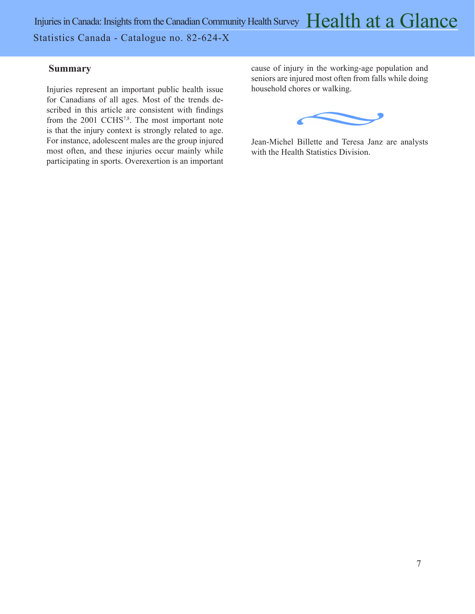Injuries in Canada: Insights from the Canadian Community Health Survey  $\rm{Health~at~a~Glance}$ Statistics Canada - Catalogue no. 82-624-X

#### **Summary**

Injuries represent an important public health issue for Canadians of all ages. Most of the trends described in this article are consistent with findings from the 2001 CCHS<sup>7,8</sup>. The most important note is that the injury context is strongly related to age. For instance, adolescent males are the group injured most often, and these injuries occur mainly while participating in sports. Overexertion is an important

cause of injury in the working-age population and seniors are injured most often from falls while doing household chores or walking.



Jean-Michel Billette and Teresa Janz are analysts with the Health Statistics Division.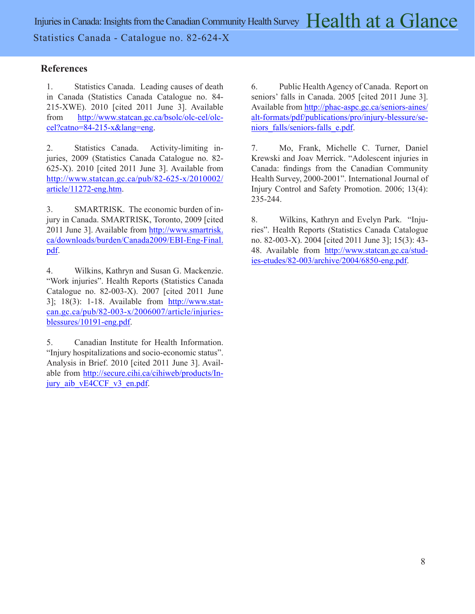### **References**

1. Statistics Canada. Leading causes of death in Canada (Statistics Canada Catalogue no. 84- 215-XWE). 2010 [cited 2011 June 3]. Available from [http://www.statcan.gc.ca/bsolc/olc-cel/olc](http://www.statcan.gc.ca/bsolc/olc-cel/olc-cel?catno=84-215-x&lang=eng)[cel?catno=84-215-x&lang=eng.](http://www.statcan.gc.ca/bsolc/olc-cel/olc-cel?catno=84-215-x&lang=eng)

2. Statistics Canada. Activity-limiting injuries, 2009 (Statistics Canada Catalogue no. 82- 625-X). 2010 [cited 2011 June 3]. Available from [http://www.statcan.gc.ca/pub/82-625-x/2010002/](http://www.statcan.gc.ca/pub/82-625-x/2010002/article/11272-eng.htm) [article/11272-eng.htm](http://www.statcan.gc.ca/pub/82-625-x/2010002/article/11272-eng.htm).

3. SMARTRISK. The economic burden of injury in Canada. SMARTRISK, Toronto, 2009 [cited 2011 June 3]. Available from [http://www.smartrisk.](http://www.smartrisk.ca/downloads/burden/Canada2009/EBI-Eng-Final.pdf) [ca/downloads/burden/Canada2009/EBI-Eng-Final.](http://www.smartrisk.ca/downloads/burden/Canada2009/EBI-Eng-Final.pdf) [pdf.](http://www.smartrisk.ca/downloads/burden/Canada2009/EBI-Eng-Final.pdf)

4. Wilkins, Kathryn and Susan G. Mackenzie. "Work injuries". Health Reports (Statistics Canada Catalogue no. 82-003-X). 2007 [cited 2011 June 3]; 18(3): 1-18. Available from  $\frac{http://www.stat-1833368881}{http://www.stat-18336881}$ [can.gc.ca/pub/82-003-x/2006007/article/injuries](http://www.statcan.gc.ca/pub/82-003-x/2006007/article/injuries-blessures/10191-eng.pdf)[blessures/10191-eng.pdf.](http://www.statcan.gc.ca/pub/82-003-x/2006007/article/injuries-blessures/10191-eng.pdf)

5. Canadian Institute for Health Information. "Injury hospitalizations and socio-economic status". Analysis in Brief. 2010 [cited 2011 June 3]. Available from [http://secure.cihi.ca/cihiweb/products/In](http://secure.cihi.ca/cihiweb/products/injury_aib_vE4CCF_v3_en.pdf)[jury\\_aib\\_vE4CCF\\_v3\\_en.pdf](http://secure.cihi.ca/cihiweb/products/injury_aib_vE4CCF_v3_en.pdf).

6. Public Health Agency of Canada. Report on seniors' falls in Canada. 2005 [cited 2011 June 3]. Available from [http://phac-aspc.gc.ca/seniors-aines/](http://phac-aspc.gc.ca/seniors-aines/alt-formats/pdf/publications/pro/injury-blessure/seniors_falls/seniors-falls_e.pdf) [alt-formats/pdf/publications/pro/injury-blessure/se](http://phac-aspc.gc.ca/seniors-aines/alt-formats/pdf/publications/pro/injury-blessure/seniors_falls/seniors-falls_e.pdf)[niors\\_falls/seniors-falls\\_e.pdf](http://phac-aspc.gc.ca/seniors-aines/alt-formats/pdf/publications/pro/injury-blessure/seniors_falls/seniors-falls_e.pdf).

7. Mo, Frank, Michelle C. Turner, Daniel Krewski and Joav Merrick. "Adolescent injuries in Canada: findings from the Canadian Community Health Survey, 2000-2001". International Journal of Injury Control and Safety Promotion. 2006; 13(4): 235-244.

8. Wilkins, Kathryn and Evelyn Park. "Injuries". Health Reports (Statistics Canada Catalogue no. 82-003-X). 2004 [cited 2011 June 3]; 15(3): 43 48. Available from [http://www.statcan.gc.ca/stud](http://www.statcan.gc.ca/studies-etudes/82-003/archive/2004/6850-eng.pdf)[ies-etudes/82-003/archive/2004/6850-eng.pdf.](http://www.statcan.gc.ca/studies-etudes/82-003/archive/2004/6850-eng.pdf)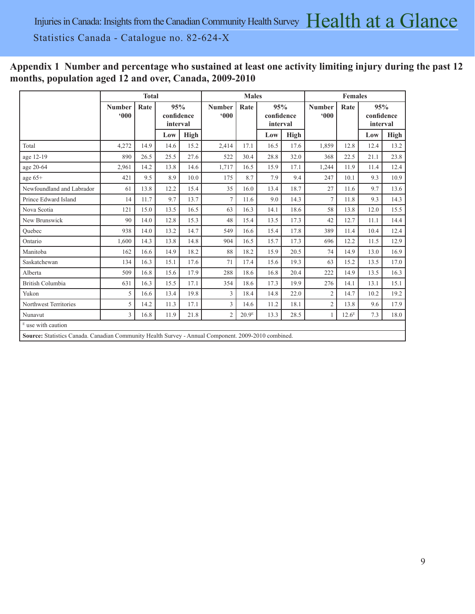# **Appendix 1 Number and percentage who sustained at least one activity limiting injury during the past 12 months, population aged 12 and over, Canada, 2009-2010**

|                                                                                                     | <b>Total</b>         |      |                               |             |                      | <b>Males</b>      |      |                               |                | <b>Females</b>    |                               |      |
|-----------------------------------------------------------------------------------------------------|----------------------|------|-------------------------------|-------------|----------------------|-------------------|------|-------------------------------|----------------|-------------------|-------------------------------|------|
|                                                                                                     | <b>Number</b><br>000 | Rate | 95%<br>confidence<br>interval |             | <b>Number</b><br>000 | Rate              |      | 95%<br>confidence<br>interval |                | Rate              | 95%<br>confidence<br>interval |      |
|                                                                                                     |                      |      | Low                           | <b>High</b> |                      |                   | Low  | <b>High</b>                   |                |                   | Low                           | High |
| Total                                                                                               | 4,272                | 14.9 | 14.6                          | 15.2        | 2,414                | 17.1              | 16.5 | 17.6                          | 1,859          | 12.8              | 12.4                          | 13.2 |
| age 12-19                                                                                           | 890                  | 26.5 | 25.5                          | 27.6        | 522                  | 30.4              | 28.8 | 32.0                          | 368            | 22.5              | 21.1                          | 23.8 |
| age 20-64                                                                                           | 2,961                | 14.2 | 13.8                          | 14.6        | 1,717                | 16.5              | 15.9 | 17.1                          | 1,244          | 11.9              | 11.4                          | 12.4 |
| age $65+$                                                                                           | 421                  | 9.5  | 8.9                           | 10.0        | 175                  | 8.7               | 7.9  | 9.4                           | 247            | 10.1              | 9.3                           | 10.9 |
| Newfoundland and Labrador                                                                           | 61                   | 13.8 | 12.2                          | 15.4        | 35                   | 16.0              | 13.4 | 18.7                          | 27             | 11.6              | 9.7                           | 13.6 |
| Prince Edward Island                                                                                | 14                   | 11.7 | 9.7                           | 13.7        | $\tau$               | 11.6              | 9.0  | 14.3                          | $\overline{7}$ | 11.8              | 9.3                           | 14.3 |
| Nova Scotia                                                                                         | 121                  | 15.0 | 13.5                          | 16.5        | 63                   | 16.3              | 14.1 | 18.6                          | 58             | 13.8              | 12.0                          | 15.5 |
| New Brunswick                                                                                       | 90                   | 14.0 | 12.8                          | 15.3        | 48                   | 15.4              | 13.5 | 17.3                          | 42             | 12.7              | 11.1                          | 14.4 |
| Ouebec                                                                                              | 938                  | 14.0 | 13.2                          | 14.7        | 549                  | 16.6              | 15.4 | 17.8                          | 389            | 11.4              | 10.4                          | 12.4 |
| Ontario                                                                                             | 1.600                | 14.3 | 13.8                          | 14.8        | 904                  | 16.5              | 15.7 | 17.3                          | 696            | 12.2              | 11.5                          | 12.9 |
| Manitoba                                                                                            | 162                  | 16.6 | 14.9                          | 18.2        | 88                   | 18.2              | 15.9 | 20.5                          | 74             | 14.9              | 13.0                          | 16.9 |
| Saskatchewan                                                                                        | 134                  | 16.3 | 15.1                          | 17.6        | 71                   | 17.4              | 15.6 | 19.3                          | 63             | 15.2              | 13.5                          | 17.0 |
| Alberta                                                                                             | 509                  | 16.8 | 15.6                          | 17.9        | 288                  | 18.6              | 16.8 | 20.4                          | 222            | 14.9              | 13.5                          | 16.3 |
| <b>British Columbia</b>                                                                             | 631                  | 16.3 | 15.5                          | 17.1        | 354                  | 18.6              | 17.3 | 19.9                          | 276            | 14.1              | 13.1                          | 15.1 |
| Yukon                                                                                               | 5                    | 16.6 | 13.4                          | 19.8        | 3                    | 18.4              | 14.8 | 22.0                          | $\overline{2}$ | 14.7              | 10.2                          | 19.2 |
| Northwest Territories                                                                               | 5                    | 14.2 | 11.3                          | 17.1        | 3                    | 14.6              | 11.2 | 18.1                          | $\overline{c}$ | 13.8              | 9.6                           | 17.9 |
| Nunavut                                                                                             | 3                    | 16.8 | 11.9                          | 21.8        | $\overline{2}$       | 20.9 <sup>E</sup> | 13.3 | 28.5                          | 1              | 12.6 <sup>E</sup> | 7.3                           | 18.0 |
| $E$ use with caution                                                                                |                      |      |                               |             |                      |                   |      |                               |                |                   |                               |      |
| Source: Statistics Canada. Canadian Community Health Survey - Annual Component. 2009-2010 combined. |                      |      |                               |             |                      |                   |      |                               |                |                   |                               |      |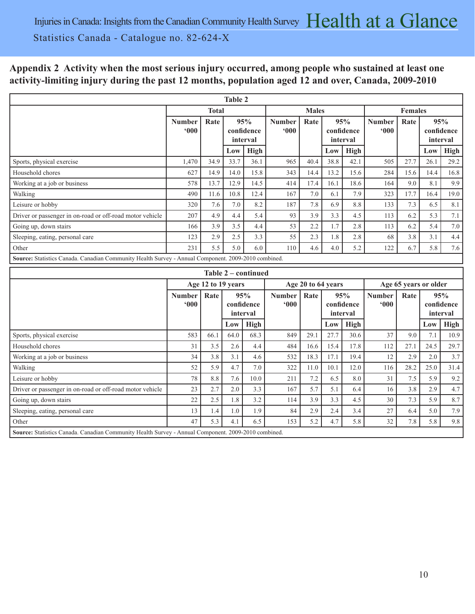## **Appendix 2 Activity when the most serious injury occurred, among people who sustained at least one activity-limiting injury during the past 12 months, population aged 12 and over, Canada, 2009-2010**

|                                                                                                     |                                                               |                    | <b>Table 2</b>          |                     |               |                               |                      |             |               |                               |      |             |
|-----------------------------------------------------------------------------------------------------|---------------------------------------------------------------|--------------------|-------------------------|---------------------|---------------|-------------------------------|----------------------|-------------|---------------|-------------------------------|------|-------------|
|                                                                                                     |                                                               | <b>Total</b>       |                         |                     |               | <b>Males</b>                  |                      |             |               | <b>Females</b>                |      |             |
|                                                                                                     | 95%<br>Rate<br><b>Number</b><br>000<br>confidence<br>interval |                    | <b>Number</b><br>$000*$ | Rate                |               | 95%<br>confidence<br>interval | <b>Number</b><br>000 | Rate        |               | 95%<br>confidence<br>interval |      |             |
|                                                                                                     |                                                               |                    | Low                     | High                |               |                               | Low                  | High        |               |                               | Low  | High        |
| Sports, physical exercise                                                                           | 1,470                                                         | 34.9               | 33.7                    | 36.1                | 965           | 40.4                          | 38.8                 | 42.1        | 505           | 27.7                          | 26.1 | 29.2        |
| Household chores                                                                                    | 627                                                           | 14.9               | 14.0                    | 15.8                | 343           | 14.4                          | 13.2                 | 15.6        | 284           | 15.6                          | 14.4 | 16.8        |
| Working at a job or business                                                                        | 578                                                           | 13.7               | 12.9                    | 14.5                | 414           | 17.4                          | 16.1                 | 18.6        | 164           | 9.0                           | 8.1  | 9.9         |
| Walking                                                                                             | 490                                                           | 11.6               | 10.8                    | 12.4                | 167           | 7.0                           | 6.1                  | 7.9         | 323           | 17.7                          | 16.4 | 19.0        |
| Leisure or hobby                                                                                    | 320                                                           | 7.6                | 7.0                     | 8.2                 | 187           | 7.8                           | 6.9                  | 8.8         | 133           | 7.3                           | 6.5  | 8.1         |
| Driver or passenger in on-road or off-road motor vehicle                                            | 207                                                           | 4.9                | 4.4                     | 5.4                 | 93            | 3.9                           | 3.3                  | 4.5         | 113           | 6.2                           | 5.3  | 7.1         |
| Going up, down stairs                                                                               | 166                                                           | 3.9                | 3.5                     | 4.4                 | 53            | 2.2                           | 1.7                  | 2.8         | 113           | 6.2                           | 5.4  | 7.0         |
| Sleeping, eating, personal care                                                                     | 123                                                           | 2.9                | 2.5                     | 3.3                 | 55            | 2.3                           | 1.8                  | 2.8         | 68            | 3.8                           | 3.1  | 4.4         |
| Other                                                                                               | 231                                                           | 5.5                | 5.0                     | 6.0                 | 110           | 4.6                           | 4.0                  | 5.2         | 122           | 6.7                           | 5.8  | 7.6         |
| Source: Statistics Canada. Canadian Community Health Survey - Annual Component. 2009-2010 combined. |                                                               |                    |                         |                     |               |                               |                      |             |               |                               |      |             |
|                                                                                                     |                                                               |                    |                         | Table 2 – continued |               |                               |                      |             |               |                               |      |             |
|                                                                                                     |                                                               |                    |                         |                     |               |                               |                      |             |               |                               |      |             |
|                                                                                                     |                                                               | Age 12 to 19 years |                         |                     |               | Age 20 to 64 years            |                      |             |               | Age 65 years or older         |      |             |
|                                                                                                     | <b>Number</b>                                                 | Rate               | 95%                     |                     | <b>Number</b> | Rate                          |                      | 95%         | <b>Number</b> | Rate                          |      | 95%         |
|                                                                                                     | 000                                                           |                    |                         | confidence          | 000           |                               |                      | confidence  | 000           |                               |      | confidence  |
|                                                                                                     |                                                               |                    |                         | interval            |               |                               |                      | interval    |               |                               |      | interval    |
|                                                                                                     |                                                               |                    | Low                     | High                |               |                               | Low                  | <b>High</b> |               |                               | Low  | <b>High</b> |
| Sports, physical exercise                                                                           | 583                                                           | 66.1               | 64.0                    | 68.3                | 849           | 29.1                          | 27.7                 | 30.6        | 37            | 9.0                           | 7.1  | 10.9        |
| Household chores                                                                                    | 31                                                            | 3.5                | 2.6                     | 4.4                 | 484           | 16.6                          | 15.4                 | 17.8        | 112           | 27.1                          | 24.5 | 29.7        |
| Working at a job or business                                                                        | 34                                                            | 3.8                | 3.1                     | 4.6                 | 532           | 18.3                          | 17.1                 | 19.4        | 12            | 2.9                           | 2.0  | 3.7         |
| Walking                                                                                             | 52                                                            | 5.9                | 4.7                     | 7.0                 | 322           | 11.0                          | 10.1                 | 12.0        | 116           | 28.2                          | 25.0 | 31.4        |
| Leisure or hobby                                                                                    | 78                                                            | 8.8                | 7.6                     | 10.0                | 211           | 7.2                           | 6.5                  | 8.0         | 31            | 7.5                           | 5.9  | 9.2         |
| Driver or passenger in on-road or off-road motor vehicle                                            | 23                                                            | 2.7                | 2.0                     | 3.3                 | 167           | 5.7                           | 5.1                  | 6.4         | 16            | 3.8                           | 2.9  | 4.7         |
| Going up, down stairs                                                                               | 22                                                            | 2.5                | 1.8                     | 3.2                 | 114           | 3.9                           | 3.3                  | 4.5         | 30            | 7.3                           | 5.9  | 8.7         |
| Sleeping, eating, personal care                                                                     | 13                                                            | 1.4                | 1.0                     | 1.9                 | 84            | 2.9                           | 2.4                  | 3.4         | 27            | 6.4                           | 5.0  | 7.9         |
| Other                                                                                               | 47                                                            | 5.3                | 4.1                     | 6.5                 | 153           | 5.2                           | 4.7                  | 5.8         | 32            | 7.8                           | 5.8  | 9.8         |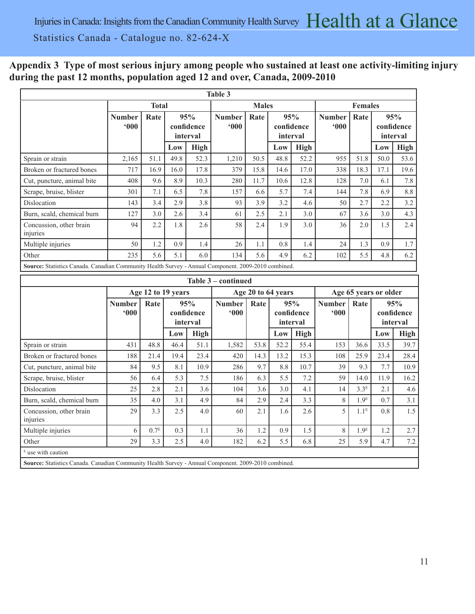# **Appendix 3 Type of most serious injury among people who sustained at least one activity-limiting injury during the past 12 months, population aged 12 and over, Canada, 2009-2010**

|                                                                                                     |                      |              |                                                     |      | Table 3                        |              |      |                               |                                   |                |      |                               |
|-----------------------------------------------------------------------------------------------------|----------------------|--------------|-----------------------------------------------------|------|--------------------------------|--------------|------|-------------------------------|-----------------------------------|----------------|------|-------------------------------|
|                                                                                                     |                      | <b>Total</b> |                                                     |      |                                | <b>Males</b> |      |                               |                                   | <b>Females</b> |      |                               |
|                                                                                                     | <b>Number</b><br>000 | Rate         | 95%<br>confidence<br>interval<br><b>High</b><br>Low |      | <b>Number</b><br>$000^{\circ}$ | Rate         |      | 95%<br>confidence<br>interval | <b>Number</b><br>600 <sup>°</sup> | Rate           |      | 95%<br>confidence<br>interval |
|                                                                                                     |                      |              |                                                     |      |                                |              | Low  | <b>High</b>                   |                                   |                | Low  | <b>High</b>                   |
| Sprain or strain                                                                                    | 2,165                | 51.1         | 49.8                                                | 52.3 | 1,210                          | 50.5         | 48.8 | 52.2                          | 955                               | 51.8           | 50.0 | 53.6                          |
| Broken or fractured bones                                                                           | 717                  | 16.9         | 16.0                                                | 17.8 | 379                            | 15.8         | 14.6 | 17.0                          | 338                               | 18.3           | 17.1 | 19.6                          |
| Cut, puncture, animal bite                                                                          | 408                  | 9.6          | 8.9                                                 | 10.3 | 280                            | 11.7         | 10.6 | 12.8                          | 128                               | 7.0            | 6.1  | 7.8                           |
| Scrape, bruise, blister                                                                             | 301                  | 7.1          | 6.5                                                 | 7.8  | 157                            | 6.6          | 5.7  | 7.4                           | 144                               | 7.8            | 6.9  | 8.8                           |
| Dislocation                                                                                         | 143                  | 3.4          | 2.9                                                 | 3.8  | 93                             | 3.9          | 3.2  | 4.6                           | 50                                | 2.7            | 2.2  | 3.2                           |
| Burn, scald, chemical burn                                                                          | 127                  | 3.0          | 2.6                                                 | 3.4  | 61                             | 2.5          | 2.1  | 3.0                           | 67                                | 3.6            | 3.0  | 4.3                           |
| Concussion, other brain<br>injuries                                                                 | 94                   | 2.2          | 1.8                                                 | 2.6  | 58                             | 2.4          | 1.9  | 3.0                           | 36                                | 2.0            | 1.5  | 2.4                           |
| Multiple injuries                                                                                   | 50                   | 1.2          | 0.9                                                 | 1.4  | 26                             | 1.1          | 0.8  | 1.4                           | 24                                | 1.3            | 0.9  | 1.7                           |
| Other                                                                                               | 235                  | 5.6          | 5.1                                                 | 6.0  | 134                            | 5.6          | 4.9  | 6.2                           | 102                               | 5.5            | 4.8  | 6.2                           |
| Source: Statistics Canada. Canadian Community Health Survey - Annual Component. 2009-2010 combined. |                      |              |                                                     |      |                                |              |      |                               |                                   |                |      |                               |

|                                                                                                     |                         |                  |                               |             | Table 3 – continued  |                    |      |                               |                                           |                       |      |                               |
|-----------------------------------------------------------------------------------------------------|-------------------------|------------------|-------------------------------|-------------|----------------------|--------------------|------|-------------------------------|-------------------------------------------|-----------------------|------|-------------------------------|
|                                                                                                     |                         |                  | Age 12 to 19 years            |             |                      | Age 20 to 64 years |      |                               |                                           | Age 65 years or older |      |                               |
|                                                                                                     | <b>Number</b><br>$000*$ | Rate             | 95%<br>confidence<br>interval |             | <b>Number</b><br>000 | Rate               |      | 95%<br>confidence<br>interval | Rate<br><b>Number</b><br>600 <sup>°</sup> |                       |      | 95%<br>confidence<br>interval |
|                                                                                                     |                         |                  | Low                           | <b>High</b> |                      |                    | Low  | <b>High</b>                   |                                           |                       | Low  | <b>High</b>                   |
| Sprain or strain                                                                                    | 431                     | 48.8             | 46.4                          | 51.1        | 1,582                | 53.8               | 52.2 | 55.4                          | 153                                       | 36.6                  | 33.5 | 39.7                          |
| Broken or fractured bones                                                                           | 188                     | 21.4             | 19.4                          | 23.4        | 420                  | 14.3               | 13.2 | 15.3                          | 108                                       | 25.9                  | 23.4 | 28.4                          |
| Cut, puncture, animal bite                                                                          | 84                      | 9.5              | 8.1                           | 10.9        | 286                  | 9.7                | 8.8  | 10.7                          | 39                                        | 9.3                   | 7.7  | 10.9                          |
| Scrape, bruise, blister                                                                             | 56                      | 6.4              | 5.3                           | 7.5         | 186                  | 6.3                | 5.5  | 7.2                           | 59                                        | 14.0                  | 11.9 | 16.2                          |
| Dislocation                                                                                         | 25                      | 2.8              | 2.1                           | 3.6         | 104                  | 3.6                | 3.0  | 4.1                           | 14                                        | 3.3 <sup>E</sup>      | 2.1  | 4.6                           |
| Burn, scald, chemical burn                                                                          | 35                      | 4.0              | 3.1                           | 4.9         | 84                   | 2.9                | 2.4  | 3.3                           | 8                                         | 1.9 <sup>E</sup>      | 0.7  | 3.1                           |
| Concussion, other brain<br>injuries                                                                 | 29                      | 3.3              | 2.5                           | 4.0         | 60                   | 2.1                | 1.6  | 2.6                           | 5                                         | 1.1 <sup>E</sup>      | 0.8  | 1.5                           |
| Multiple injuries                                                                                   | 6                       | 0.7 <sup>E</sup> | 0.3                           | 1.1         | 36                   | 1.2                | 0.9  | 1.5                           | 8                                         | 1.9 <sup>E</sup>      | 1.2  | 2.7                           |
| Other                                                                                               | 29                      | 3.3              | 2.5                           | 4.0         | 182                  | 6.2                | 5.5  | 6.8                           | 25                                        | 5.9                   | 4.7  | 7.2                           |
| <sup>E</sup> use with caution                                                                       |                         |                  |                               |             |                      |                    |      |                               |                                           |                       |      |                               |
| Source: Statistics Canada. Canadian Community Health Survey - Annual Component. 2009-2010 combined. |                         |                  |                               |             |                      |                    |      |                               |                                           |                       |      |                               |

ī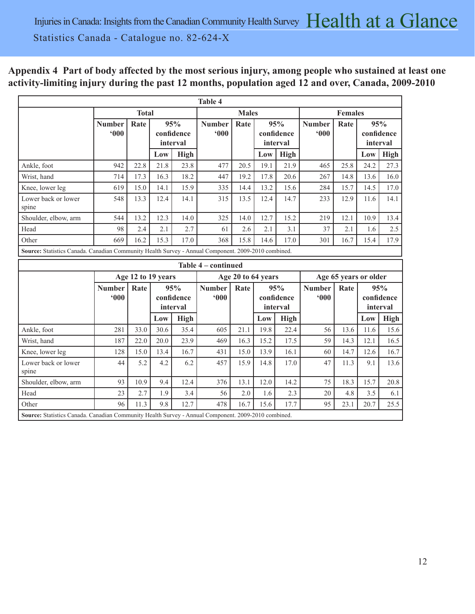# **Appendix 4 Part of body affected by the most serious injury, among people who sustained at least one activity-limiting injury during the past 12 months, population aged 12 and over, Canada, 2009-2010**

|                                                                                                     |                      |                    |      |                               | <b>Table 4</b>       |                    |          |                                           |                      |                       |      |                               |
|-----------------------------------------------------------------------------------------------------|----------------------|--------------------|------|-------------------------------|----------------------|--------------------|----------|-------------------------------------------|----------------------|-----------------------|------|-------------------------------|
|                                                                                                     |                      | <b>Total</b>       |      |                               |                      | <b>Males</b>       |          |                                           |                      | <b>Females</b>        |      |                               |
|                                                                                                     | <b>Number</b><br>000 | Rate               |      | 95%<br>confidence<br>interval | <b>Number</b><br>000 | Rate               |          | 95%<br>confidence<br>interval             | <b>Number</b><br>000 | Rate                  |      | 95%<br>confidence<br>interval |
|                                                                                                     |                      |                    | Low  | <b>High</b>                   |                      |                    | Low      | High                                      |                      |                       | Low  | High                          |
| Ankle, foot                                                                                         | 942                  | 22.8               | 21.8 | 23.8                          | 477                  | 20.5               | 19.1     | 21.9                                      | 465                  | 25.8                  | 24.2 | 27.3                          |
| Wrist, hand                                                                                         | 714                  | 17.3               | 16.3 | 18.2                          | 447                  | 19.2               | 17.8     | 20.6                                      | 267                  | 14.8                  | 13.6 | 16.0                          |
| Knee, lower leg                                                                                     | 619                  | 15.0               | 14.1 | 15.9                          | 335                  | 14.4               | 13.2     | 15.6                                      | 284                  | 15.7                  | 14.5 | 17.0                          |
| Lower back or lower<br>spine                                                                        | 548                  | 13.3               | 12.4 | 14.1                          | 315                  | 13.5               | 12.4     | 14.7                                      | 233                  | 12.9                  | 11.6 | 14.1                          |
| Shoulder, elbow, arm                                                                                | 544                  | 13.2               | 12.3 | 14.0                          | 325                  | 14.0               | 12.7     | 15.2                                      | 219                  | 12.1                  | 10.9 | 13.4                          |
| Head                                                                                                | 98                   | 2.4                | 2.1  | 2.7                           | 61                   | 2.6                | 2.1      | 3.1                                       | 37                   | 2.1                   | 1.6  | 2.5                           |
| Other                                                                                               | 669                  | 16.2               | 15.3 | 17.0                          | 368                  | 15.8               | 14.6     | 17.0                                      | 301                  | 16.7                  | 15.4 | 17.9                          |
| Source: Statistics Canada. Canadian Community Health Survey - Annual Component. 2009-2010 combined. |                      |                    |      |                               |                      |                    |          |                                           |                      |                       |      |                               |
|                                                                                                     |                      |                    |      |                               | Table 4 - continued  |                    |          |                                           |                      |                       |      |                               |
|                                                                                                     |                      | Age 12 to 19 years |      |                               |                      | Age 20 to 64 years |          |                                           |                      | Age 65 years or older |      |                               |
|                                                                                                     | <b>Number</b><br>000 | Rate               |      | 95%<br>confidence<br>interval | <b>Number</b><br>000 | Rate               | interval | <b>Number</b><br>95%<br>000<br>confidence |                      | Rate                  |      | 95%<br>confidence<br>interval |
|                                                                                                     |                      |                    | Low  | High                          |                      |                    | Low      | <b>High</b>                               |                      |                       | Low  | <b>High</b>                   |
| Ankle, foot                                                                                         | 281                  | 33.0               | 30.6 | 35.4                          | 605                  | 21.1               | 19.8     | 22.4                                      | 56                   | 13.6                  | 11.6 | 15.6                          |
| Wrist, hand                                                                                         | 187                  | 22.0               | 20.0 | 23.9                          | 469                  | 16.3               | 15.2     | 17.5                                      | 59                   | 14.3                  | 12.1 | 16.5                          |
| Knee, lower leg                                                                                     | 128                  | 15.0               | 13.4 | 16.7                          | 431                  | 15.0               | 13.9     | 16.1                                      | 60                   | 14.7                  | 12.6 | 16.7                          |
| Lower back or lower                                                                                 |                      |                    |      |                               |                      |                    |          |                                           |                      |                       |      | 13.6                          |
| spine                                                                                               | 44                   | 5.2                | 4.2  | 6.2                           | 457                  | 15.9               | 14.8     | 17.0                                      | 47                   | 11.3                  | 9.1  |                               |
| Shoulder, elbow, arm                                                                                | 93                   | 10.9               | 9.4  | 12.4                          | 376                  | 13.1               | 12.0     | 14.2                                      | 75                   | 18.3                  | 15.7 | 20.8                          |
| Head                                                                                                | 23                   | 2.7                | 1.9  | 3.4                           | 56                   | 2.0                | 1.6      | 2.3                                       | 20                   | 4.8                   | 3.5  | 6.1                           |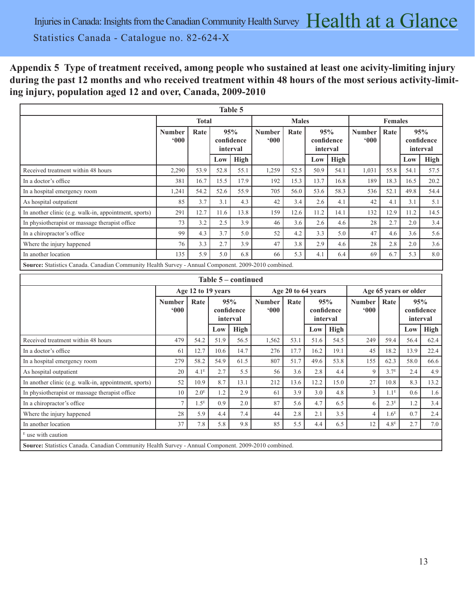# **Appendix 5 Type of treatment received, among people who sustained at least one acivity-limiting injury during the past 12 months and who received treatment within 48 hours of the most serious activity-limiting injury, population aged 12 and over, Canada, 2009-2010**

|                                                                                                     |                                        |              |                               | Table 5 |                         |              |      |                               |                         |                |      |                               |
|-----------------------------------------------------------------------------------------------------|----------------------------------------|--------------|-------------------------------|---------|-------------------------|--------------|------|-------------------------------|-------------------------|----------------|------|-------------------------------|
|                                                                                                     |                                        | <b>Total</b> |                               |         |                         | <b>Males</b> |      |                               |                         | <b>Females</b> |      |                               |
|                                                                                                     | Rate<br><b>Number</b><br>$000^{\circ}$ |              | 95%<br>confidence<br>interval |         | <b>Number</b><br>$000*$ | Rate         |      | 95%<br>confidence<br>interval | <b>Number</b><br>$000*$ | Rate           |      | 95%<br>confidence<br>interval |
|                                                                                                     |                                        |              | Low                           | High    |                         |              | Low  | High                          |                         |                | Low  | <b>High</b>                   |
| Received treatment within 48 hours                                                                  | 2,290                                  | 53.9         | 52.8                          | 55.1    | 1,259                   | 52.5         | 50.9 | 54.1                          | 1,031                   | 55.8           | 54.1 | 57.5                          |
| In a doctor's office                                                                                | 381                                    | 16.7         | 15.5                          | 17.9    | 192                     | 15.3         | 13.7 | 16.8                          | 189                     | 18.3           | 16.5 | 20.2                          |
| In a hospital emergency room                                                                        | 1,241                                  | 54.2         | 52.6                          | 55.9    | 705                     | 56.0         | 53.6 | 58.3                          | 536                     | 52.1           | 49.8 | 54.4                          |
| As hospital outpatient                                                                              | 85                                     | 3.7          | 3.1                           | 4.3     | 42                      | 3.4          | 2.6  | 4.1                           | 42                      | 4.1            | 3.1  | 5.1                           |
| In another clinic (e.g. walk-in, appointment, sports)                                               | 291                                    | 12.7         | 11.6                          | 13.8    | 159                     | 12.6         | 11.2 | 14.1                          | 132                     | 12.9           | 11.2 | 14.5                          |
| In physiotherapist or massage therapist office                                                      | 73                                     | 3.2          | 2.5                           | 3.9     | 46                      | 3.6          | 2.6  | 4.6                           | 28                      | 2.7            | 2.0  | 3.4                           |
| In a chiropractor's office.                                                                         | 99                                     | 4.3          | 3.7                           | 5.0     | 52                      | 4.2          | 3.3  | 5.0                           | 47                      | 4.6            | 3.6  | 5.6                           |
| Where the injury happened                                                                           | 76                                     | 3.3          | 2.7                           | 3.9     | 47                      | 3.8          | 2.9  | 4.6                           | 28                      | 2.8            | 2.0  | 3.6                           |
| In another location                                                                                 | 135                                    | 5.9          | 5.0                           | 6.8     | 66                      | 5.3          | 4.1  | 6.4                           | 69                      | 6.7            | 5.3  | 8.0                           |
| Source: Statistics Canada. Canadian Community Health Survey - Annual Component. 2009-2010 combined. |                                        |              |                               |         |                         |              |      |                               |                         |                |      |                               |

| Table 5 – continued                                                                                 |                                        |                    |                               |             |                      |      |                               |      |                      |                  |                       |                 |  |  |
|-----------------------------------------------------------------------------------------------------|----------------------------------------|--------------------|-------------------------------|-------------|----------------------|------|-------------------------------|------|----------------------|------------------|-----------------------|-----------------|--|--|
|                                                                                                     |                                        | Age 12 to 19 years |                               |             |                      |      | Age 20 to 64 years            |      |                      |                  | Age 65 years or older |                 |  |  |
|                                                                                                     | Rate<br><b>Number</b><br>$000^{\circ}$ |                    | 95%<br>confidence<br>interval |             | <b>Number</b><br>000 | Rate | 95%<br>confidence<br>interval |      | <b>Number</b><br>000 | Rate             | confidence            | 95%<br>interval |  |  |
|                                                                                                     |                                        |                    | Low                           | <b>High</b> |                      |      | Low                           | High |                      |                  | Low                   | High            |  |  |
| Received treatment within 48 hours                                                                  | 479                                    | 54.2               | 51.9                          | 56.5        | 1,562                | 53.1 | 51.6                          | 54.5 | 249                  | 59.4             | 56.4                  | 62.4            |  |  |
| In a doctor's office                                                                                | 61                                     | 12.7               | 10.6                          | 14.7        | 276                  | 17.7 | 16.2                          | 19.1 | 45                   | 18.2             | 13.9                  | 22.4            |  |  |
| In a hospital emergency room                                                                        | 279                                    | 58.2               | 54.9                          | 61.5        | 807                  | 51.7 | 49.6                          | 53.8 | 155                  | 62.3             | 58.0                  | 66.6            |  |  |
| As hospital outpatient                                                                              | 20                                     | 4.1 <sup>E</sup>   | 2.7                           | 5.5         | 56                   | 3.6  | 2.8                           | 4.4  | 9                    | 3.7 <sup>E</sup> | 2.4                   | 4.9             |  |  |
| In another clinic (e.g. walk-in, appointment, sports)                                               | 52                                     | 10.9               | 8.7                           | 13.1        | 212                  | 13.6 | 12.2                          | 15.0 | 27                   | 10.8             | 8.3                   | 13.2            |  |  |
| In physiotherapist or massage therapist office                                                      | 10                                     | 2.0 <sup>E</sup>   | 1.2                           | 2.9         | 61                   | 3.9  | 3.0                           | 4.8  | 3                    | 1.1 <sup>E</sup> | 0.6                   | 1.6             |  |  |
| In a chiropractor's office                                                                          |                                        | 1.5 <sup>E</sup>   | 0.9                           | 2.0         | 87                   | 5.6  | 4.7                           | 6.5  | 6                    | 2.3 <sup>E</sup> | 1.2                   | 3.4             |  |  |
| Where the injury happened                                                                           | 28                                     | 5.9                | 4.4                           | 7.4         | 44                   | 2.8  | 2.1                           | 3.5  | 4                    | 1.6 <sup>E</sup> | 0.7                   | 2.4             |  |  |
| In another location                                                                                 | 37                                     | 7.8                | 5.8                           | 9.8         | 85                   | 5.5  | 4.4                           | 6.5  | 12                   | 4.8 <sup>E</sup> | 2.7                   | 7.0             |  |  |
| $E$ use with caution                                                                                |                                        |                    |                               |             |                      |      |                               |      |                      |                  |                       |                 |  |  |
| Source: Statistics Canada. Canadian Community Health Survey - Annual Component. 2009-2010 combined. |                                        |                    |                               |             |                      |      |                               |      |                      |                  |                       |                 |  |  |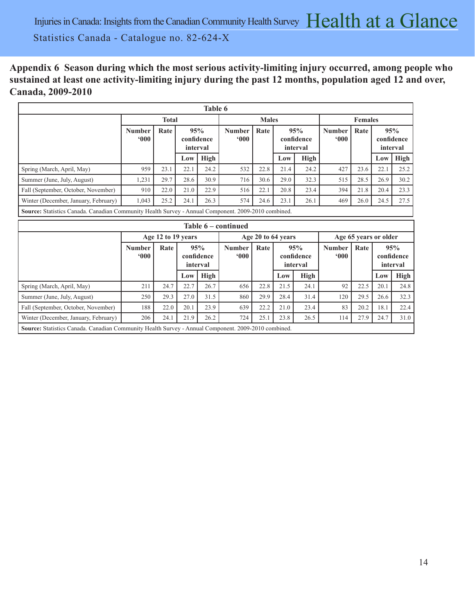**Appendix 6 Season during which the most serious activity-limiting injury occurred, among people who sustained at least one activity-limiting injury during the past 12 months, population aged 12 and over, Canada, 2009-2010** 

|                                                                                                     |                      |                    |          | Table 6                       |                                |                    |                               |                               |                         |                       |      |                               |
|-----------------------------------------------------------------------------------------------------|----------------------|--------------------|----------|-------------------------------|--------------------------------|--------------------|-------------------------------|-------------------------------|-------------------------|-----------------------|------|-------------------------------|
|                                                                                                     |                      | <b>Total</b>       |          |                               |                                | <b>Males</b>       |                               |                               |                         | <b>Females</b>        |      |                               |
|                                                                                                     | <b>Number</b><br>000 | Rate               | interval | 95%<br>confidence             | <b>Number</b><br>000           | Rate               |                               | 95%<br>confidence<br>interval | <b>Number</b><br>$000*$ | Rate                  |      | 95%<br>confidence<br>interval |
|                                                                                                     |                      |                    | Low      | <b>High</b>                   |                                |                    | Low                           | High                          |                         |                       | Low  | <b>High</b>                   |
| Spring (March, April, May)                                                                          | 959                  | 23.1               | 22.1     | 24.2                          | 532                            | 22.8               | 21.4                          | 24.2                          | 427                     | 23.6                  | 22.1 | 25.2                          |
| Summer (June, July, August)                                                                         | 1,231                | 29.7               | 28.6     | 30.9                          | 716                            | 30.6               | 29.0                          | 32.3                          | 515                     | 28.5                  | 26.9 | 30.2                          |
| Fall (September, October, November)                                                                 | 910                  | 22.0               | 21.0     | 22.9                          | 516                            | 22.1               | 20.8                          | 23.4                          | 394                     | 21.8                  | 20.4 | 23.3                          |
| Winter (December, January, February)                                                                | 1.043                | 25.2               | 24.1     | 26.3                          | 574                            | 24.6               | 23.1                          | 26.1                          | 469                     | 26.0                  | 24.5 | 27.5                          |
| Source: Statistics Canada. Canadian Community Health Survey - Annual Component. 2009-2010 combined. |                      |                    |          |                               |                                |                    |                               |                               |                         |                       |      |                               |
|                                                                                                     |                      |                    |          |                               | Table 6 – continued            |                    |                               |                               |                         |                       |      |                               |
|                                                                                                     |                      | Age 12 to 19 years |          |                               |                                | Age 20 to 64 years |                               |                               |                         | Age 65 years or older |      |                               |
|                                                                                                     | <b>Number</b><br>000 | Rate               |          | 95%<br>confidence<br>interval | <b>Number</b><br>$000^{\circ}$ | Rate               | 95%<br>confidence<br>interval |                               | <b>Number</b><br>$000*$ | Rate                  |      | 95%<br>confidence<br>interval |
|                                                                                                     |                      |                    | Low      | <b>High</b>                   |                                |                    | Low                           | <b>High</b>                   |                         |                       | Low  | High                          |
| Spring (March, April, May)                                                                          | 211                  | 24.7               | 22.7     | 26.7                          | 656                            | 22.8               | 21.5                          | 24.1                          | 92                      | 22.5                  | 20.1 | 24.8                          |
| Summer (June, July, August)                                                                         | 250                  | 29.3               | 27.0     | 31.5                          | 860                            | 29.9               | 28.4                          | 31.4                          | 120                     | 29.5                  | 26.6 | 32.3                          |
| Fall (September, October, November)                                                                 | 188                  | 22.0               | 20.1     | 23.9                          | 639                            | 22.2               | 21.0                          | 23.4                          | 83                      | 20.2                  | 18.1 | 22.4                          |
| Winter (December, January, February)                                                                | 206                  | 24.1               | 21.9     | 26.2                          | 724                            | 25.1               | 23.8                          | 26.5                          | 114                     | 27.9                  | 24.7 | 31.0                          |

**Source:** Statistics Canada. Canadian Community Health Survey - Annual Component. 2009-2010 combined.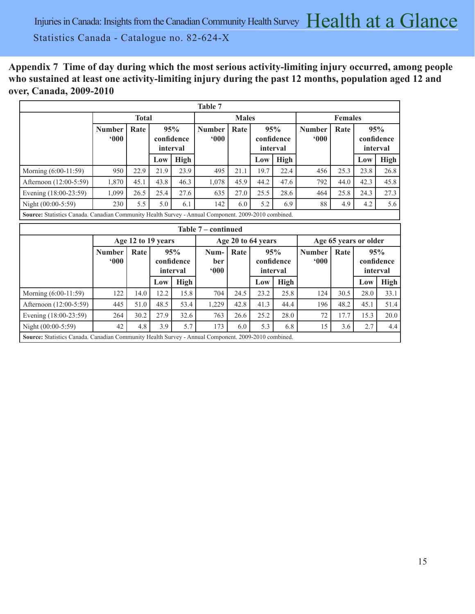**Appendix 7 Time of day during which the most serious activity-limiting injury occurred, among people who sustained at least one activity-limiting injury during the past 12 months, population aged 12 and over, Canada, 2009-2010** 

|                        |                      |                    |      |                               | Table 7                   |                                                                                                     |      |                               |                                |                       |      |                               |  |  |  |  |  |  |  |
|------------------------|----------------------|--------------------|------|-------------------------------|---------------------------|-----------------------------------------------------------------------------------------------------|------|-------------------------------|--------------------------------|-----------------------|------|-------------------------------|--|--|--|--|--|--|--|
|                        |                      | <b>Total</b>       |      |                               |                           | <b>Males</b>                                                                                        |      |                               |                                | <b>Females</b>        |      |                               |  |  |  |  |  |  |  |
|                        | <b>Number</b><br>000 | Rate               |      | 95%<br>confidence<br>interval | <b>Number</b><br>$000*$   | Rate                                                                                                |      | 95%<br>confidence<br>interval | <b>Number</b><br>$000^{\circ}$ | Rate                  |      | 95%<br>confidence<br>interval |  |  |  |  |  |  |  |
|                        |                      |                    | Low  | <b>High</b>                   |                           |                                                                                                     | Low  | <b>High</b>                   |                                |                       | Low  | <b>High</b>                   |  |  |  |  |  |  |  |
| Morning (6:00-11:59)   | 950                  | 22.9               | 21.9 | 23.9                          | 495                       | 21.1                                                                                                | 19.7 | 22.4                          | 456                            | 25.3                  | 23.8 | 26.8                          |  |  |  |  |  |  |  |
| Afternoon (12:00-5:59) | 1,870                | 45.1               | 43.8 | 46.3                          | 1,078                     | 45.9                                                                                                | 44.2 | 47.6                          | 792                            | 44.0                  | 42.3 | 45.8                          |  |  |  |  |  |  |  |
| Evening (18:00-23:59)  | 1,099                | 26.5               | 25.4 | 27.6                          | 635                       | 27.0                                                                                                | 25.5 | 28.6                          | 464                            | 25.8                  | 24.3 | 27.3                          |  |  |  |  |  |  |  |
| Night (00:00-5:59)     | 230                  | 5.5                | 5.0  | 6.1                           | 142                       | 6.0                                                                                                 | 5.2  | 6.9                           | 88                             | 4.9                   | 4.2  | 5.6                           |  |  |  |  |  |  |  |
|                        |                      |                    |      |                               |                           |                                                                                                     |      |                               |                                |                       |      |                               |  |  |  |  |  |  |  |
|                        |                      |                    |      |                               |                           | Source: Statistics Canada. Canadian Community Health Survey - Annual Component. 2009-2010 combined. |      |                               |                                |                       |      |                               |  |  |  |  |  |  |  |
|                        | Table 7 – continued  |                    |      |                               |                           |                                                                                                     |      |                               |                                |                       |      |                               |  |  |  |  |  |  |  |
|                        |                      | Age 12 to 19 years |      |                               |                           | Age 20 to 64 years                                                                                  |      |                               |                                | Age 65 years or older |      |                               |  |  |  |  |  |  |  |
|                        | <b>Number</b><br>000 | Rate               |      | 95%<br>confidence<br>interval | Num-<br><b>ber</b><br>000 | Rate                                                                                                |      | 95%<br>confidence<br>interval | <b>Number</b><br>000           | Rate                  |      | 95%<br>confidence<br>interval |  |  |  |  |  |  |  |
|                        |                      |                    | Low  | <b>High</b>                   |                           |                                                                                                     | Low  | <b>High</b>                   |                                |                       | Low  | <b>High</b>                   |  |  |  |  |  |  |  |
| Morning (6:00-11:59)   | 122                  | 14.0               | 12.2 | 15.8                          | 704                       | 24.5                                                                                                | 23.2 | 25.8                          | 124                            | 30.5                  | 28.0 | 33.1                          |  |  |  |  |  |  |  |
| Afternoon (12:00-5:59) | 445                  | 51.0               | 48.5 | 53.4                          | 1,229                     | 42.8                                                                                                | 41.3 | 44.4                          | 196                            | 48.2                  | 45.1 | 51.4                          |  |  |  |  |  |  |  |
| Evening (18:00-23:59)  | 264                  | 30.2               | 27.9 | 32.6                          | 763                       | 26.6                                                                                                | 25.2 | 28.0                          | 72                             | 17.7                  | 15.3 | 20.0                          |  |  |  |  |  |  |  |
| Night (00:00-5:59)     | 42                   | 4.8                | 3.9  | 5.7                           | 173                       | 6.0                                                                                                 | 5.3  | 6.8                           | 15                             | 3.6                   | 2.7  | 4.4                           |  |  |  |  |  |  |  |